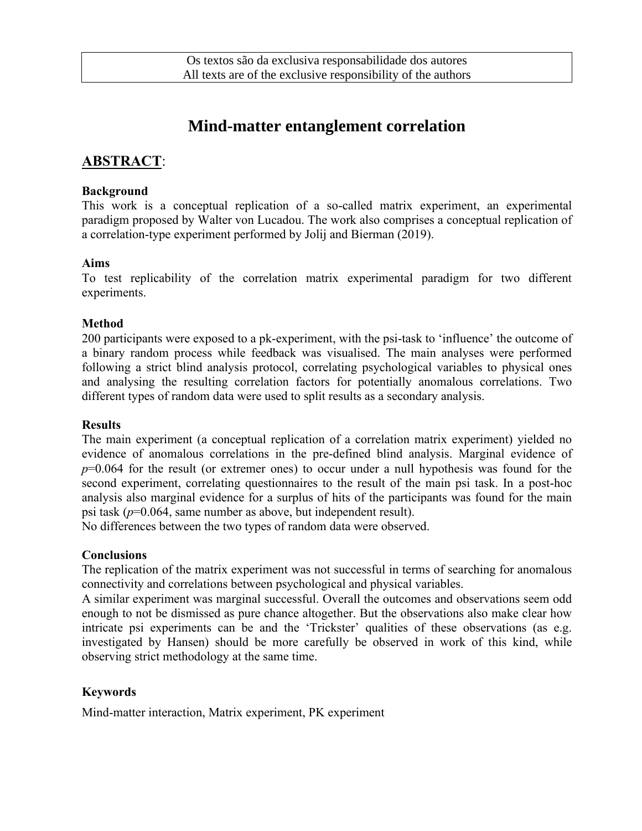# **Mind-matter entanglement correlation**

### **ABSTRACT**:

#### **Background**

This work is a conceptual replication of a so-called matrix experiment, an experimental paradigm proposed by Walter von Lucadou. The work also comprises a conceptual replication of a correlation-type experiment performed by Jolij and Bierman (2019).

#### **Aims**

To test replicability of the correlation matrix experimental paradigm for two different experiments.

#### **Method**

200 participants were exposed to a pk-experiment, with the psi-task to 'influence' the outcome of a binary random process while feedback was visualised. The main analyses were performed following a strict blind analysis protocol, correlating psychological variables to physical ones and analysing the resulting correlation factors for potentially anomalous correlations. Two different types of random data were used to split results as a secondary analysis.

#### **Results**

The main experiment (a conceptual replication of a correlation matrix experiment) yielded no evidence of anomalous correlations in the pre-defined blind analysis. Marginal evidence of *p*=0.064 for the result (or extremer ones) to occur under a null hypothesis was found for the second experiment, correlating questionnaires to the result of the main psi task. In a post-hoc analysis also marginal evidence for a surplus of hits of the participants was found for the main psi task (*p*=0.064, same number as above, but independent result).

No differences between the two types of random data were observed.

#### **Conclusions**

The replication of the matrix experiment was not successful in terms of searching for anomalous connectivity and correlations between psychological and physical variables.

A similar experiment was marginal successful. Overall the outcomes and observations seem odd enough to not be dismissed as pure chance altogether. But the observations also make clear how intricate psi experiments can be and the 'Trickster' qualities of these observations (as e.g. investigated by Hansen) should be more carefully be observed in work of this kind, while observing strict methodology at the same time.

#### **Keywords**

Mind-matter interaction, Matrix experiment, PK experiment